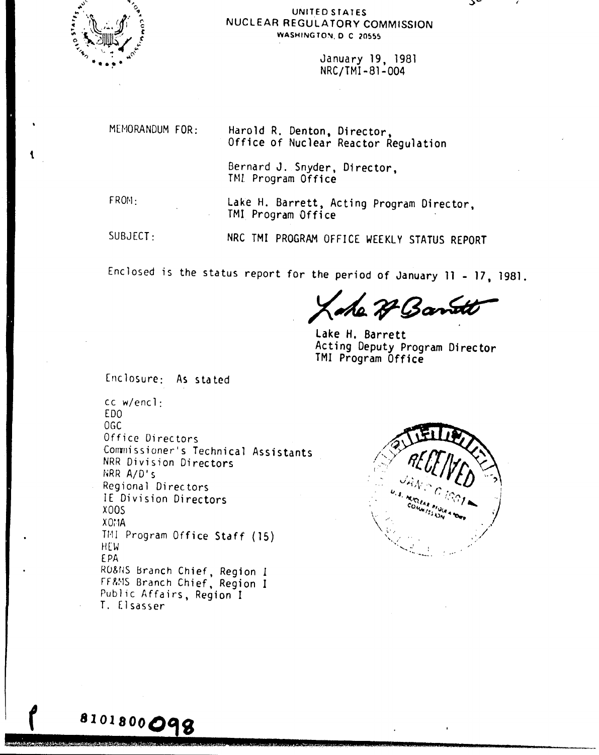

## UNITED STATES NUCLEAR REGULATORY COMMISSION WASHINGTON, D.C. 20555

January 19, 1981 NRC/TMI-81-004

MEMORANDUM FOR:

Harold R. Denton, Director. Office of Nuclear Reactor Regulation

Bernard J. Snyder, Director, TML Program Office

FROM:

Lake H. Barrett, Acting Program Director, TMI Program Office

 $SUBJECI:$ 

8101800098

NRC TMI PROGRAM OFFICE WEEKLY STATUS REPORT

Enclosed is the status report for the period of January 11 - 17, 1981.

7 Band

Lake H. Barrett Acting Deputy Program Director TMI Program Office

Enclosure: As stated

 $cc$  w/encl $\cdot$ ED<sub>0</sub> OGC Office Directors Commissioner's Technical Assistants NRR Division Directors NRR A/D's Regional Directors IE Division Directors **X00S**  $XO^*A$ TMI Program Office Staff (15) HEW. **EPA** RO&NS Branch Chief, Region I FF&MS Branch Chief, Region I Public Affairs, Region I T. Elsasser

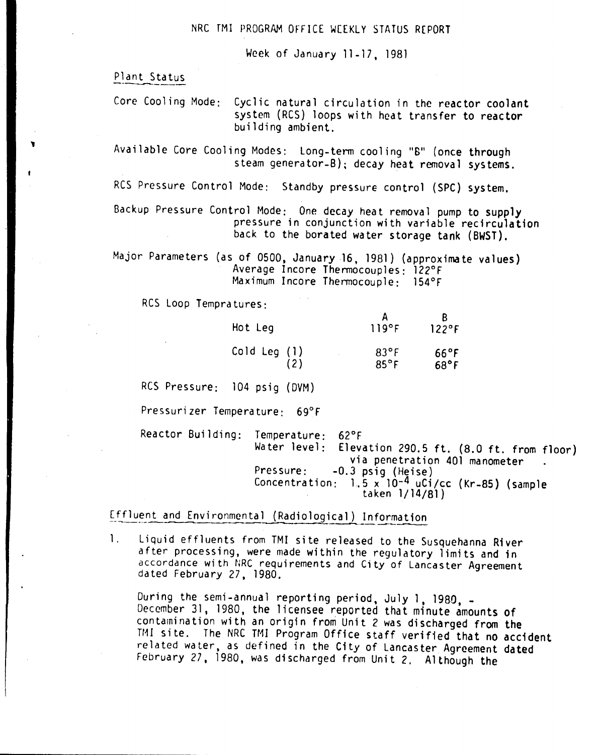Week of January 11-17, 1981

Plant Status

**1** 

Core Cooling Mode: Cyclic natural circulation in the reactor coolant system (RCS) loops with heat transfer to reactor building ambient.

Available Core Cooling Modes: Long-term cooling "B" (once through steam generator-B); decay heat removal systems.

RCS Pressure Control Mode: Standby pressure control (SPC) system.

Backup Pressure Control Mode: One decay heat removal pump to supply pressure in conjunction with variable recirculation back to the borated water storage tank (BWST).

Major Parameters (as of 0500, January 16, 1981) (approximate values) Average Incore Thermocouples: 122°F Maximum Incore Thermocouple: 154°F

RCS Loop Tempratures:

| Hot Leg      | 119°F          | 122°F          |
|--------------|----------------|----------------|
| Cold Leg (1) | $83^{\circ}$ F | $66^{\circ}$ F |
| (2)          | $85^{\circ}$ F | $68^{\circ}$ F |

 $\Lambda$ 

'n.

RCS Pressure: 104 psig (DVM)

Pressurizer Temperature: 69°F

Reactor Building: Temperature: 62°F Water level: Elevation 290.5 ft. (8.0 ft. from floor) via penetration 401 manometer Pressure: -0.3 psig (Heise) Concentration:  $1.5 \times 10^{-4}$  uCi/cc (Kr-85) (sample taken 1/14/81)

Effluent and Environmental (Radiological) Information

1. Liquid effluents from TMI site released to the Susquehanna River after processing, were made within the regulatory limits and in accordance with NRC requirements and City of Lancaster Agreement dated February 27, 1980.

During the semi-annual reporting period, July 1, 1980, -December 31, 1980, the licensee reported that minute amounts of contamination with an origin from Unit 2 was discharged from the TMI site. The NRC TMI Program Office staff verified that no accident related water, as defined in the City of Lancaster Agreement dated February 27, 1980, was discharged from Unit 2. Although the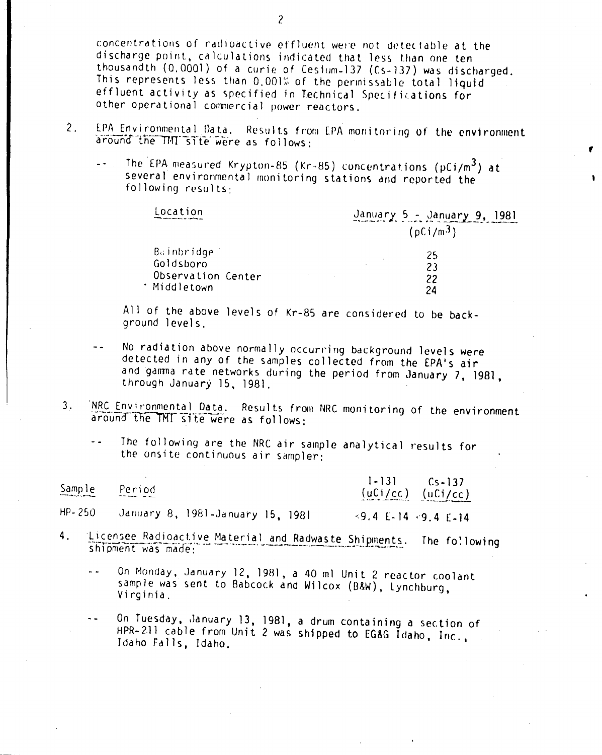concentrations of radioactive effluent were not detectable at the discharge point, calculations indicated that less than one ten thousandth (0,0001) of a curie of Cesium-137 (Cs-137) was discharged. This represents less than 0.001% of the permissable total liquid effluent activity as specified in Technical Specifications for other operational commercial power reactors.

- 2. EPA Environmental Data. Results from EPA monitoring of the environment around the TMI site were as follows:
	- The EPA measured Krypton-85 *(Kr-85)* concentrations (pCi/m<sup>3</sup>) at  $\ddotsc$ several environmental monitoring stations and reported the following results:

| Location                | January $5 -$ January $9$ , 1981<br>(pCi/m <sup>3</sup> ) |
|-------------------------|-----------------------------------------------------------|
| Bainbridge<br>Goldsboro | 25                                                        |
| Observation Center      | 23<br>22                                                  |
| · Middletown            | 24                                                        |

,

All of the above levels of Kr-85 are considered to be background levels.

- No radiation above normally occurring background levels were detected in any of the samples collected from the EPA's air and gamma rate networks during the period from January 7, 1981, through January 15, 1981.
- 3. 'NRC Environmental Data. Results from NRC monitoring of the environment around the TMT site were as follows:
	- The following are the NRC air sample analytical results for  $$ the onsite continuous air sampler:

| Sample     | Period<br><b>Professional Community</b> | $1-131$ $Cs-137$<br>$(uCi/cc)$ $(uCi/cc)$ |  |
|------------|-----------------------------------------|-------------------------------------------|--|
| $HP - 250$ | January 8, 1981-January 15, 1981        | $\leq 9.4$ E-14 $\leq 9.4$ E-14           |  |

- Licensee Radioactive Material and Radwaste Shipments. The following 4. shipment was made:
	- On Monday, January 12, 1981, a 40 ml Unit 2 reactor coolant الأساسا sample was sent to Babcock and Wilcox (B&W), Lynchburg, Virginia.
	- On Tuesday, January 13, 1981, a drum containing a section of HPR-211 cable from Unit 2 was shipped to EG&G Idaho, Inc., Idaho Falls, Idaho.

2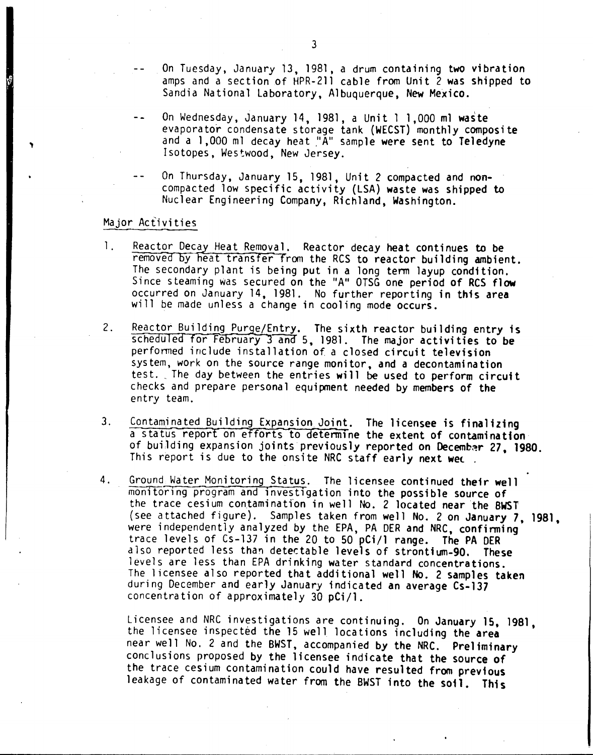- On Tuesday. January 13. 1981. a drum containing two vibration amps and a section of HPR-2ll cable from Unit 2 was shipped to Sandia National Laboratory, Albuquerque, New Mexico.
- On Wednesday. January 14. 1981. a Unit 1 1.000 m1 waste evaporator condensate storage tank (WECST) monthly composite and a 1,000 ml decay heat "A" sample were sent to Teledyne Isotopes. Westwood. New Jersey.
- On Thursday. January 15, 1981, Unit 2 compacted and noncompacted low specific activity (LSA) waste was shipped to Nuclear Engineering Company, Richland, Washington.

## Major Activities

- 1. Reactor Decay Heat Removal. Reactor decay heat continues to be removed by heat transfer from the RCS to reactor building ambient. The secondary plant is being put in a long term layup condition. Since steaming was secured on the "A" OTSG one period of RCS flow occurred on January 14. 1981. No further reporting in this area will be made unless a change in cooling mode occurs.
- 2. Reactor Building Purge/Entry. The sixth reactor building entry is scheduled for February 3 and 5, 1981. The major activities to be perfonned include installation of. a closed circuit television system, work on the source range monitor. and a decontamination test. The day between the entries will be used to perform circuit checks and prepare personal equipment needed by members of the entry team.
- 3. Contaminated Building Expansion Joint. The licensee is finalizing a status report on efforts to determine the extent of contamination of building expansion joints previously reported on Decembar 27, 1980. This report is due to the onsite NRC staff early next wed.
- 4. Ground Water Monitoring Status. The licensee continued their well monitoring program and investigation into the possible source of the trace cesium contamination in well No. 2 located near the BWST (see attached figure). Samples taken from well No. 2 on January 7, 1981, were independently analyzed by the EPA, PA DER and NRC, confirming trace levels of Cs-137 in the 20 to 50 pCi/l range. The PA OER also reported less than detectable levels of strontium-90. These levels are less than EPA drinking water standard concentrations. The licensee also reported that additional well No. 2 samples taken during December and early January indicated an average Cs-137 concentration of approximately 30 pCi/1.

Licensee and NRC investigations are continuing. On January 15. 19B1, the licensee inspected the 15 well locations including the area near well No. 2 and the BWST, accompanied by the NRC. Preliminary conclusions proposed by the licensee indicate that the SOurce of the trace cesium contamination could have resulted from previous leakage of contaminated water from the BWST into the soil. This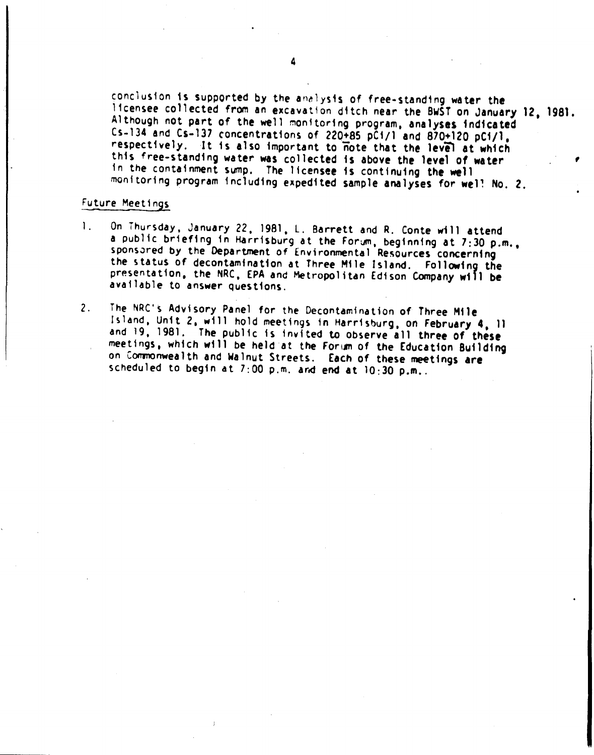conclusion is supported by the analysis of free-standing water the Ifcensee collected from an excavation ditch near the BWST on January 12, 1981. Although not part of the well monitoring program, analyses indicated Cs-134 and Cs-137 concentrations of 220+85 pC1/1 and 870+120 pC1/1. ,respectively. It is also important to note that the level at which this free-standing water was collected is above the level of water in the containment sump. The licensee is continuing the well monitoring program including expedited sample analyses for well No. 2.

## Future Meetings

- On Thursday, January 22, 1981, L. Barrett and R. Conte will attend  $\mathbf{1}$ . a public briefing in Harrisburg at the Forum, beginning at 7:30 p.m., sponsored by the Department of Environmental Resources concerning the status of decontamination at Three Mile Island. Following the presentation, the NRC, EPA and Metropolitan Edison Company will be available to answer questions.
- 2. The NRC's Advisory Panel for the Decontamination of Three Ml1e Island. Unit 2, will hold meetinqs in Harrisburg. on February 4. 11 and 19. 1981. The public is invited to observe all three of these meetings, which will be held at the Forum of the Education Building on Commonwealth and Walnut Streets. Each of these meetings are scheduled to begin at  $7:00$  p.m. and end at  $10:30$  p.m..